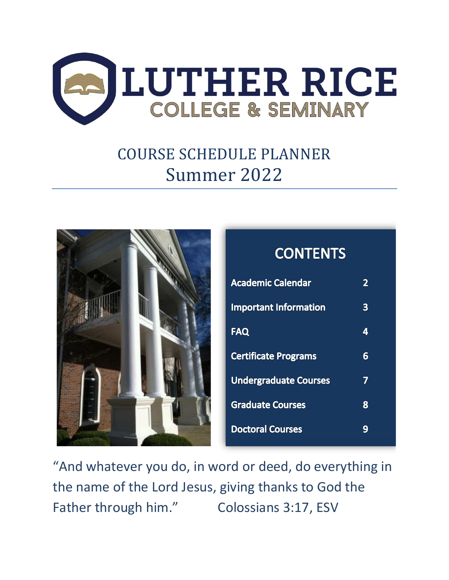

# COURSE SCHEDULE PLANNER Summer 2022



### **Academic Calendar**  $2<sup>1</sup>$ **Important Information**  $3<sup>1</sup>$ **FAQ**  $\overline{\mathbf{4}}$ **Certificate Programs**  $6<sup>1</sup>$ **Undergraduate Courses**  $\overline{\mathbf{7}}$ **Graduate Courses** 8 **Doctoral Courses**  $9<sup>°</sup>$

**CONTENTS** 

"And whatever you do, in word or deed, do everything in the name of the Lord Jesus, giving thanks to God the Father through him." Colossians 3:17, ESV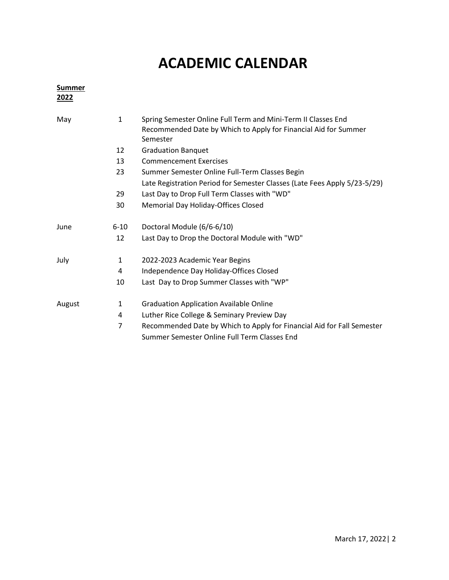### **ACADEMIC CALENDAR**

| <b>Summer</b><br>2022 |              |                                                                                                                                  |
|-----------------------|--------------|----------------------------------------------------------------------------------------------------------------------------------|
| May                   | $\mathbf{1}$ | Spring Semester Online Full Term and Mini-Term II Classes End<br>Recommended Date by Which to Apply for Financial Aid for Summer |
|                       |              | Semester                                                                                                                         |
|                       | 12           | <b>Graduation Banquet</b>                                                                                                        |
|                       | 13           | <b>Commencement Exercises</b>                                                                                                    |
|                       | 23           | Summer Semester Online Full-Term Classes Begin                                                                                   |
|                       |              | Late Registration Period for Semester Classes (Late Fees Apply 5/23-5/29)                                                        |
|                       | 29           | Last Day to Drop Full Term Classes with "WD"                                                                                     |
|                       | 30           | Memorial Day Holiday-Offices Closed                                                                                              |
| June                  | $6 - 10$     | Doctoral Module (6/6-6/10)                                                                                                       |
|                       | 12           | Last Day to Drop the Doctoral Module with "WD"                                                                                   |
| July                  | 1            | 2022-2023 Academic Year Begins                                                                                                   |
|                       | 4            | Independence Day Holiday-Offices Closed                                                                                          |
|                       | 10           | Last Day to Drop Summer Classes with "WP"                                                                                        |
| August                | 1            | <b>Graduation Application Available Online</b>                                                                                   |
|                       | 4            | Luther Rice College & Seminary Preview Day                                                                                       |
|                       | 7            | Recommended Date by Which to Apply for Financial Aid for Fall Semester<br>Summer Semester Online Full Term Classes End           |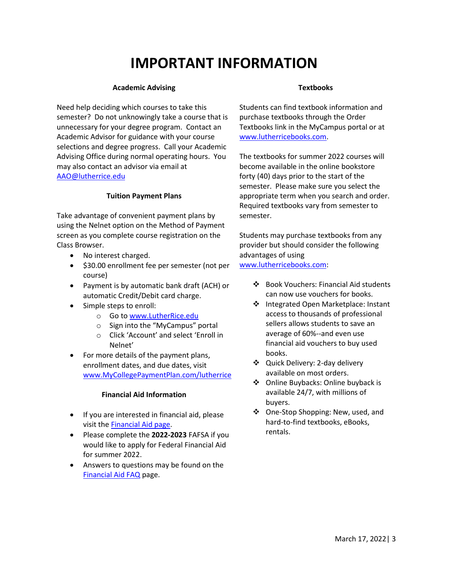### **IMPORTANT INFORMATION**

#### **Academic Advising**

Need help deciding which courses to take this semester? Do not unknowingly take a course that is unnecessary for your degree program. Contact an Academic Advisor for guidance with your course selections and degree progress. Call your Academic Advising Office during normal operating hours. You may also contact an advisor via email at [AAO@lutherrice.edu](mailto:AAO@lutherrice.edu)

#### **Tuition Payment Plans**

Take advantage of convenient payment plans by using the Nelnet option on the Method of Payment screen as you complete course registration on the Class Browser.

- No interest charged.
- \$30.00 enrollment fee per semester (not per course)
- Payment is by automatic bank draft (ACH) or automatic Credit/Debit card charge.
- Simple steps to enroll:
	- o Go t[o www.LutherRice.edu](http://www.lutherrice.edu/)
	- o Sign into the "MyCampus" portal
	- o Click 'Account' and select 'Enroll in Nelnet'
- For more details of the payment plans, enrollment dates, and due dates, visit [www.MyCollegePaymentPlan.com/lutherrice](http://www.mycollegepaymentplan.com/lutherrice)

#### **Financial Aid Information**

- If you are interested in financial aid, please visit the [Financial Aid page.](https://www.lutherrice.edu/tuition-and-aid/financial-aid.cms)
- Please complete the **2022-2023** FAFSA if you would like to apply for Federal Financial Aid for summer 2022.
- Answers to questions may be found on the [Financial Aid FAQ](https://www.lutherrice.edu/tuition-and-aid/financial-aid-faq.cms) page.

#### **Textbooks**

Students can find textbook information and purchase textbooks through the Order Textbooks link in the MyCampus portal or at [www.lutherricebooks.com.](http://www.lutherricebooks.com/)

The textbooks for summer 2022 courses will become available in the online bookstore forty (40) days prior to the start of the semester. Please make sure you select the appropriate term when you search and order. Required textbooks vary from semester to semester.

Students may purchase textbooks from any provider but should consider the following advantages of using [www.lutherricebooks.com:](http://www.lutherricebooks.com/)

- - ❖ Book Vouchers: Financial Aid students can now use vouchers for books.
	- ❖ Integrated Open Marketplace: Instant access to thousands of professional sellers allows students to save an average of 60%--and even use financial aid vouchers to buy used books.
	- ❖ Quick Delivery: 2-day delivery available on most orders.
	- ❖ Online Buybacks: Online buyback is available 24/7, with millions of buyers.
	- ❖ One-Stop Shopping: New, used, and hard-to-find textbooks, eBooks, rentals.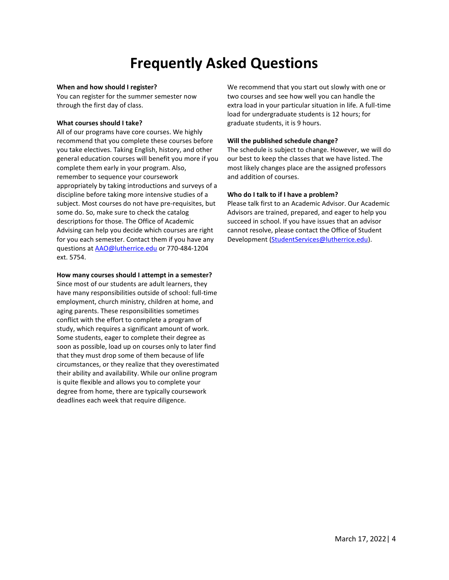### **Frequently Asked Questions**

#### **When and how should I register?**

You can register for the summer semester now through the first day of class.

#### **What courses should I take?**

All of our programs have core courses. We highly recommend that you complete these courses before you take electives. Taking English, history, and other general education courses will benefit you more if you complete them early in your program. Also, remember to sequence your coursework appropriately by taking introductions and surveys of a discipline before taking more intensive studies of a subject. Most courses do not have pre-requisites, but some do. So, make sure to check the catalog descriptions for those. The Office of Academic Advising can help you decide which courses are right for you each semester. Contact them if you have any questions a[t AAO@lutherrice.edu](mailto:AAO@lutherrice.edu) or 770-484-1204 ext. 5754.

#### **How many courses should I attempt in a semester?**

Since most of our students are adult learners, they have many responsibilities outside of school: full-time employment, church ministry, children at home, and aging parents. These responsibilities sometimes conflict with the effort to complete a program of study, which requires a significant amount of work. Some students, eager to complete their degree as soon as possible, load up on courses only to later find that they must drop some of them because of life circumstances, or they realize that they overestimated their ability and availability. While our online program is quite flexible and allows you to complete your degree from home, there are typically coursework deadlines each week that require diligence.

We recommend that you start out slowly with one or two courses and see how well you can handle the extra load in your particular situation in life. A full-time load for undergraduate students is 12 hours; for graduate students, it is 9 hours.

#### **Will the published schedule change?**

The schedule is subject to change. However, we will do our best to keep the classes that we have listed. The most likely changes place are the assigned professors and addition of courses.

#### **Who do I talk to if I have a problem?**

Please talk first to an Academic Advisor. Our Academic Advisors are trained, prepared, and eager to help you succeed in school. If you have issues that an advisor cannot resolve, please contact the Office of Student Development [\(StudentServices@lutherrice.edu\)](mailto:StudentServices@lutherrice.edu).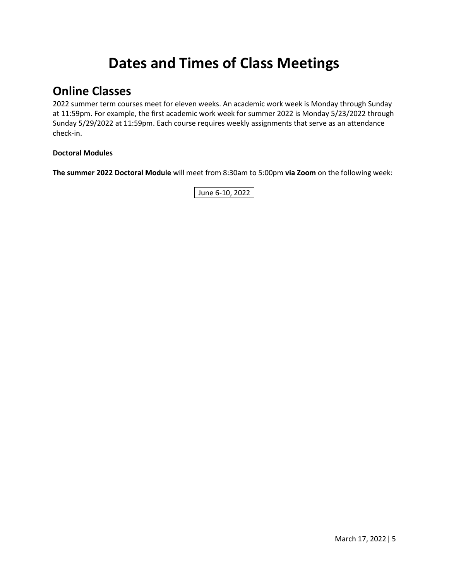## **Dates and Times of Class Meetings**

### **Online Classes**

2022 summer term courses meet for eleven weeks. An academic work week is Monday through Sunday at 11:59pm. For example, the first academic work week for summer 2022 is Monday 5/23/2022 through Sunday 5/29/2022 at 11:59pm. Each course requires weekly assignments that serve as an attendance check-in.

#### **Doctoral Modules**

**The summer 2022 Doctoral Module** will meet from 8:30am to 5:00pm **via Zoom** on the following week:

June 6-10, 2022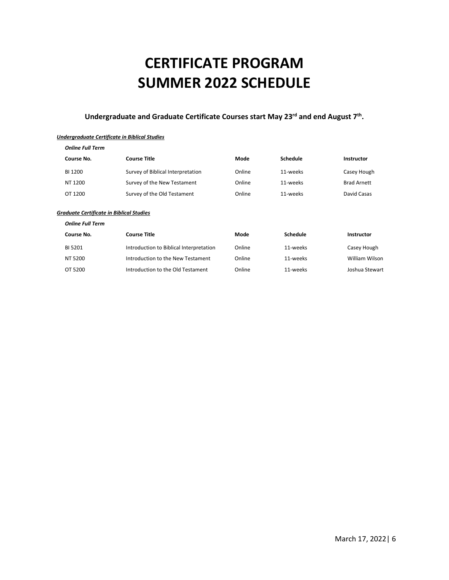## **CERTIFICATE PROGRAM SUMMER 2022 SCHEDULE**

#### **Undergraduate and Graduate Certificate Courses start May 23rd and end August 7th .**

#### *Undergraduate Certificate in Biblical Studies*

| <b>Online Full Term</b> |                                   |        |          |                    |
|-------------------------|-----------------------------------|--------|----------|--------------------|
| Course No.              | <b>Course Title</b>               | Mode   | Schedule | Instructor         |
| BI 1200                 | Survey of Biblical Interpretation | Online | 11-weeks | Casey Hough        |
| NT 1200                 | Survey of the New Testament       | Online | 11-weeks | <b>Brad Arnett</b> |
| OT 1200                 | Survey of the Old Testament       | Online | 11-weeks | David Casas        |
|                         |                                   |        |          |                    |

#### *Graduate Certificate in Biblical Studies*

*Online Full Term*

| Course No. | Course Title                            | Mode   | Schedule | Instructor     |
|------------|-----------------------------------------|--------|----------|----------------|
| BI 5201    | Introduction to Biblical Interpretation | Online | 11-weeks | Casey Hough    |
| NT 5200    | Introduction to the New Testament       | Online | 11-weeks | William Wilson |
| OT 5200    | Introduction to the Old Testament       | Online | 11-weeks | Joshua Stewart |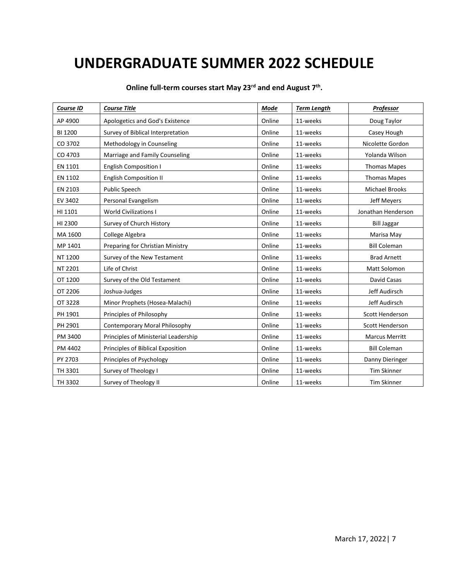### **UNDERGRADUATE SUMMER 2022 SCHEDULE**

| Course ID | <b>Course Title</b>                  | Mode   | <b>Term Length</b> | Professor             |
|-----------|--------------------------------------|--------|--------------------|-----------------------|
| AP 4900   | Apologetics and God's Existence      | Online | 11-weeks           | Doug Taylor           |
| BI 1200   | Survey of Biblical Interpretation    | Online | 11-weeks           | Casey Hough           |
| CO 3702   | Methodology in Counseling            | Online | 11-weeks           | Nicolette Gordon      |
| CO 4703   | Marriage and Family Counseling       | Online | 11-weeks           | Yolanda Wilson        |
| EN 1101   | <b>English Composition I</b>         | Online | 11-weeks           | <b>Thomas Mapes</b>   |
| EN 1102   | <b>English Composition II</b>        | Online | 11-weeks           | <b>Thomas Mapes</b>   |
| EN 2103   | Public Speech                        | Online | 11-weeks           | Michael Brooks        |
| EV 3402   | Personal Evangelism                  | Online | 11-weeks           | Jeff Meyers           |
| HI 1101   | <b>World Civilizations I</b>         | Online | 11-weeks           | Jonathan Henderson    |
| HI 2300   | Survey of Church History             | Online | 11-weeks           | <b>Bill Jaggar</b>    |
| MA 1600   | College Algebra                      | Online | 11-weeks           | Marisa May            |
| MP 1401   | Preparing for Christian Ministry     | Online | 11-weeks           | <b>Bill Coleman</b>   |
| NT 1200   | Survey of the New Testament          | Online | 11-weeks           | <b>Brad Arnett</b>    |
| NT 2201   | Life of Christ                       | Online | 11-weeks           | Matt Solomon          |
| OT 1200   | Survey of the Old Testament          | Online | 11-weeks           | David Casas           |
| OT 2206   | Joshua-Judges                        | Online | 11-weeks           | Jeff Audirsch         |
| OT 3228   | Minor Prophets (Hosea-Malachi)       | Online | 11-weeks           | Jeff Audirsch         |
| PH 1901   | Principles of Philosophy             | Online | 11-weeks           | Scott Henderson       |
| PH 2901   | Contemporary Moral Philosophy        | Online | 11-weeks           | Scott Henderson       |
| PM 3400   | Principles of Ministerial Leadership | Online | 11-weeks           | <b>Marcus Merritt</b> |
| PM 4402   | Principles of Biblical Exposition    | Online | 11-weeks           | <b>Bill Coleman</b>   |
| PY 2703   | Principles of Psychology             | Online | 11-weeks           | Danny Dieringer       |
| TH 3301   | Survey of Theology I                 | Online | 11-weeks           | <b>Tim Skinner</b>    |
| TH 3302   | Survey of Theology II                | Online | 11-weeks           | <b>Tim Skinner</b>    |

**Online full-term courses start May 23rd and end August 7th .**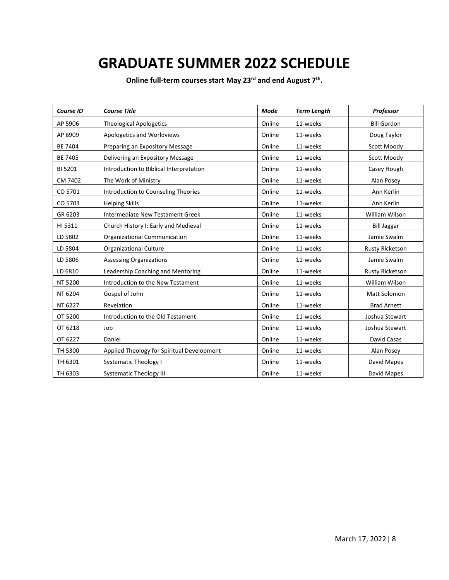### **GRADUATE SUMMER 2022 SCHEDULE**

**Online full-term courses start May 23rd and end August 7th .**

| Course ID      | <b>Course Title</b>                        | Mode   | <b>Term Length</b> | <b>Professor</b>       |
|----------------|--------------------------------------------|--------|--------------------|------------------------|
| AP 5906        | <b>Theological Apologetics</b>             | Online | 11-weeks           | <b>Bill Gordon</b>     |
| AP 6909        | Apologetics and Worldviews                 | Online | 11-weeks           | Doug Taylor            |
| BE 7404        | Preparing an Expository Message            | Online | 11-weeks           | Scott Moody            |
| <b>BE 7405</b> | Delivering an Expository Message           | Online | 11-weeks           | Scott Moody            |
| BI 5201        | Introduction to Biblical Interpretation    | Online | 11-weeks           | Casey Hough            |
| CM 7402        | The Work of Ministry                       | Online | 11-weeks           | Alan Posey             |
| CO 5701        | Introduction to Counseling Theories        | Online | 11-weeks           | Ann Kerlin             |
| CO 5703        | <b>Helping Skills</b>                      | Online | 11-weeks           | Ann Kerlin             |
| GR 6203        | Intermediate New Testament Greek           | Online | 11-weeks           | William Wilson         |
| HI 5311        | Church History I: Early and Medieval       | Online | 11-weeks           | <b>Bill Jaggar</b>     |
| LD 5802        | Organizational Communication               | Online | 11-weeks           | Jamie Swalm            |
| LD 5804        | <b>Organizational Culture</b>              | Online | 11-weeks           | <b>Rusty Ricketson</b> |
| LD 5806        | <b>Assessing Organizations</b>             | Online | 11-weeks           | Jamie Swalm            |
| LD 6810        | Leadership Coaching and Mentoring          | Online | 11-weeks           | <b>Rusty Ricketson</b> |
| NT 5200        | Introduction to the New Testament          | Online | 11-weeks           | William Wilson         |
| NT 6204        | Gospel of John                             | Online | 11-weeks           | Matt Solomon           |
| NT 6227        | Revelation                                 | Online | 11-weeks           | <b>Brad Arnett</b>     |
| OT 5200        | Introduction to the Old Testament          | Online | 11-weeks           | Joshua Stewart         |
| OT 6218        | Job                                        | Online | 11-weeks           | Joshua Stewart         |
| OT 6227        | Daniel                                     | Online | 11-weeks           | David Casas            |
| TH 5300        | Applied Theology for Spiritual Development | Online | 11-weeks           | Alan Posey             |
| TH 6301        | <b>Systematic Theology I</b>               | Online | 11-weeks           | David Mapes            |
| TH 6303        | <b>Systematic Theology III</b>             | Online | 11-weeks           | David Mapes            |